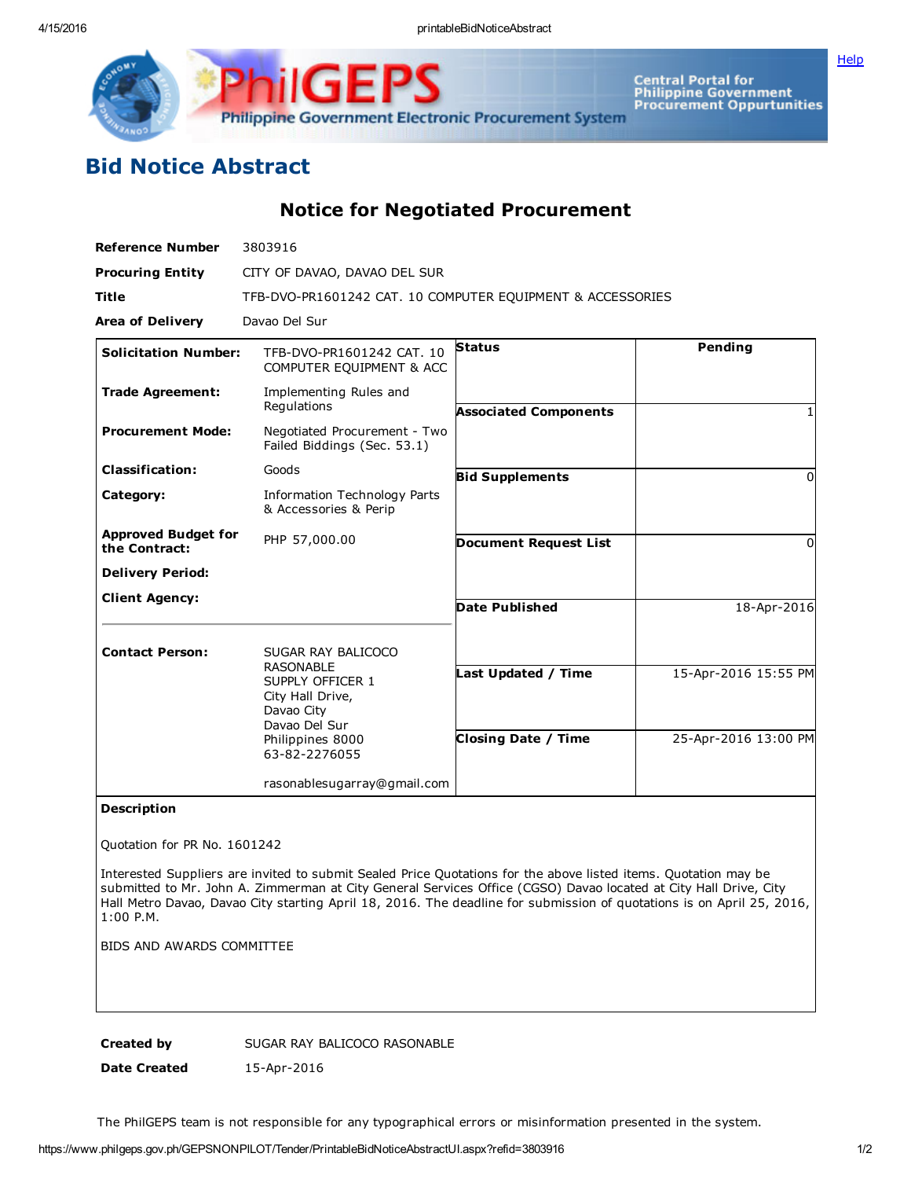

GE **Philippine Government Electronic Procurement System** 

Central Portal for<br>Philippine Government<br>Procurement Oppurtunities

## Bid Notice Abstract

Notice for Negotiated Procurement

| <b>Reference Number</b>                     | 3803916                                                                                                                      |                              |                      |
|---------------------------------------------|------------------------------------------------------------------------------------------------------------------------------|------------------------------|----------------------|
| <b>Procuring Entity</b>                     | CITY OF DAVAO, DAVAO DEL SUR                                                                                                 |                              |                      |
| <b>Title</b>                                | TFB-DVO-PR1601242 CAT. 10 COMPUTER EQUIPMENT & ACCESSORIES                                                                   |                              |                      |
| <b>Area of Delivery</b>                     | Davao Del Sur                                                                                                                |                              |                      |
| <b>Solicitation Number:</b>                 | TFB-DVO-PR1601242 CAT. 10<br>COMPUTER EQUIPMENT & ACC                                                                        | <b>Status</b>                | Pending              |
| <b>Trade Agreement:</b>                     | Implementing Rules and<br>Regulations                                                                                        | <b>Associated Components</b> |                      |
| <b>Procurement Mode:</b>                    | Negotiated Procurement - Two<br>Failed Biddings (Sec. 53.1)                                                                  |                              |                      |
| <b>Classification:</b>                      | Goods                                                                                                                        | <b>Bid Supplements</b>       | $\Omega$             |
| Category:                                   | Information Technology Parts<br>& Accessories & Perip                                                                        |                              |                      |
| <b>Approved Budget for</b><br>the Contract: | PHP 57,000.00                                                                                                                | <b>Document Request List</b> | 0                    |
| <b>Delivery Period:</b>                     |                                                                                                                              |                              |                      |
| <b>Client Agency:</b>                       |                                                                                                                              | <b>Date Published</b>        | 18-Apr-2016          |
| <b>Contact Person:</b>                      | SUGAR RAY BALICOCO                                                                                                           |                              |                      |
|                                             | <b>RASONABLE</b><br>SUPPLY OFFICER 1<br>City Hall Drive,<br>Davao City<br>Davao Del Sur<br>Philippines 8000<br>63-82-2276055 | Last Updated / Time          | 15-Apr-2016 15:55 PM |
|                                             |                                                                                                                              | <b>Closing Date / Time</b>   | 25-Apr-2016 13:00 PM |
|                                             | rasonablesugarray@gmail.com                                                                                                  |                              |                      |

## Description

Quotation for PR No. 1601242

Interested Suppliers are invited to submit Sealed Price Quotations for the above listed items. Quotation may be submitted to Mr. John A. Zimmerman at City General Services Office (CGSO) Davao located at City Hall Drive, City Hall Metro Davao, Davao City starting April 18, 2016. The deadline for submission of quotations is on April 25, 2016, 1:00 P.M.

BIDS AND AWARDS COMMITTEE

Created by SUGAR RAY BALICOCO RASONABLE

Date Created 15-Apr-2016

The PhilGEPS team is not responsible for any typographical errors or misinformation presented in the system.